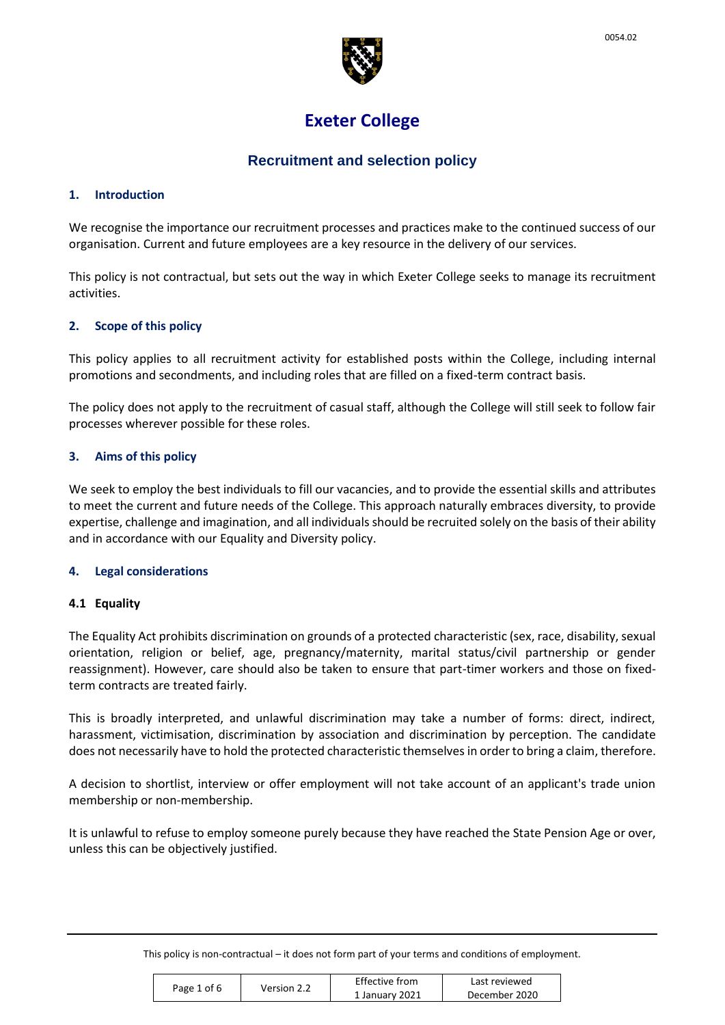

# **Exeter College**

# **Recruitment and selection policy**

#### **1. Introduction**

We recognise the importance our recruitment processes and practices make to the continued success of our organisation. Current and future employees are a key resource in the delivery of our services.

This policy is not contractual, but sets out the way in which Exeter College seeks to manage its recruitment activities.

#### **2. Scope of this policy**

This policy applies to all recruitment activity for established posts within the College, including internal promotions and secondments, and including roles that are filled on a fixed-term contract basis.

The policy does not apply to the recruitment of casual staff, although the College will still seek to follow fair processes wherever possible for these roles.

#### **3. Aims of this policy**

We seek to employ the best individuals to fill our vacancies, and to provide the essential skills and attributes to meet the current and future needs of the College. This approach naturally embraces diversity, to provide expertise, challenge and imagination, and all individuals should be recruited solely on the basis of their ability and in accordance with our Equality and Diversity policy.

#### **4. Legal considerations**

#### **4.1 Equality**

The Equality Act prohibits discrimination on grounds of a protected characteristic (sex, race, disability, sexual orientation, religion or belief, age, pregnancy/maternity, marital status/civil partnership or gender reassignment). However, care should also be taken to ensure that part-timer workers and those on fixedterm contracts are treated fairly.

This is broadly interpreted, and unlawful discrimination may take a number of forms: direct, indirect, harassment, victimisation, discrimination by association and discrimination by perception. The candidate does not necessarily have to hold the protected characteristic themselvesin order to bring a claim, therefore.

A decision to shortlist, interview or offer employment will not take account of an applicant's trade union membership or non-membership.

It is unlawful to refuse to employ someone purely because they have reached the State Pension Age or over, unless this can be objectively justified.

|             |             | <b>Effective from</b> | Last reviewed |
|-------------|-------------|-----------------------|---------------|
| Page 1 of 6 | Version 2.2 | 1 January 2021        | December 2020 |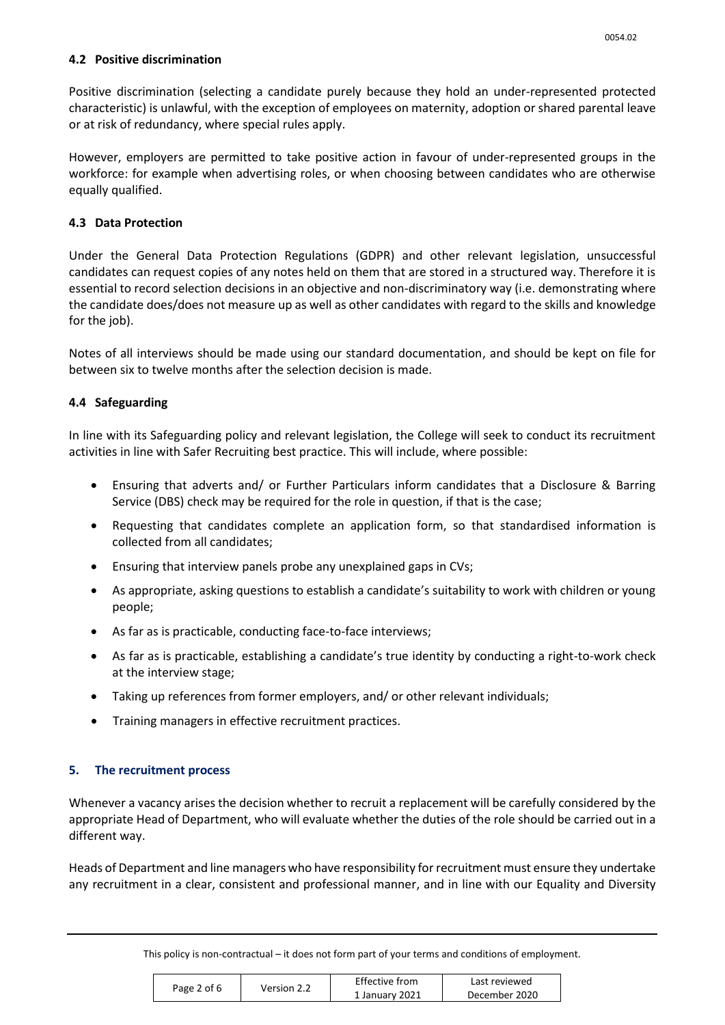### **4.2 Positive discrimination**

Positive discrimination (selecting a candidate purely because they hold an under-represented protected characteristic) is unlawful, with the exception of employees on maternity, adoption or shared parental leave or at risk of redundancy, where special rules apply.

However, employers are permitted to take positive action in favour of under-represented groups in the workforce: for example when advertising roles, or when choosing between candidates who are otherwise equally qualified.

# **4.3 Data Protection**

Under the General Data Protection Regulations (GDPR) and other relevant legislation, unsuccessful candidates can request copies of any notes held on them that are stored in a structured way. Therefore it is essential to record selection decisions in an objective and non-discriminatory way (i.e. demonstrating where the candidate does/does not measure up as well as other candidates with regard to the skills and knowledge for the job).

Notes of all interviews should be made using our standard documentation, and should be kept on file for between six to twelve months after the selection decision is made.

# **4.4 Safeguarding**

In line with its Safeguarding policy and relevant legislation, the College will seek to conduct its recruitment activities in line with Safer Recruiting best practice. This will include, where possible:

- Ensuring that adverts and/ or Further Particulars inform candidates that a Disclosure & Barring Service (DBS) check may be required for the role in question, if that is the case;
- Requesting that candidates complete an application form, so that standardised information is collected from all candidates;
- Ensuring that interview panels probe any unexplained gaps in CVs;
- As appropriate, asking questions to establish a candidate's suitability to work with children or young people;
- As far as is practicable, conducting face-to-face interviews;
- As far as is practicable, establishing a candidate's true identity by conducting a right-to-work check at the interview stage;
- Taking up references from former employers, and/ or other relevant individuals;
- Training managers in effective recruitment practices.

# **5. The recruitment process**

Whenever a vacancy arises the decision whether to recruit a replacement will be carefully considered by the appropriate Head of Department, who will evaluate whether the duties of the role should be carried out in a different way.

Heads of Department and line managers who have responsibility for recruitment must ensure they undertake any recruitment in a clear, consistent and professional manner, and in line with our Equality and Diversity

| Page 2 of 6 | Version 2.2 | Effective from | Last reviewed |
|-------------|-------------|----------------|---------------|
|             |             | 1 January 2021 | December 2020 |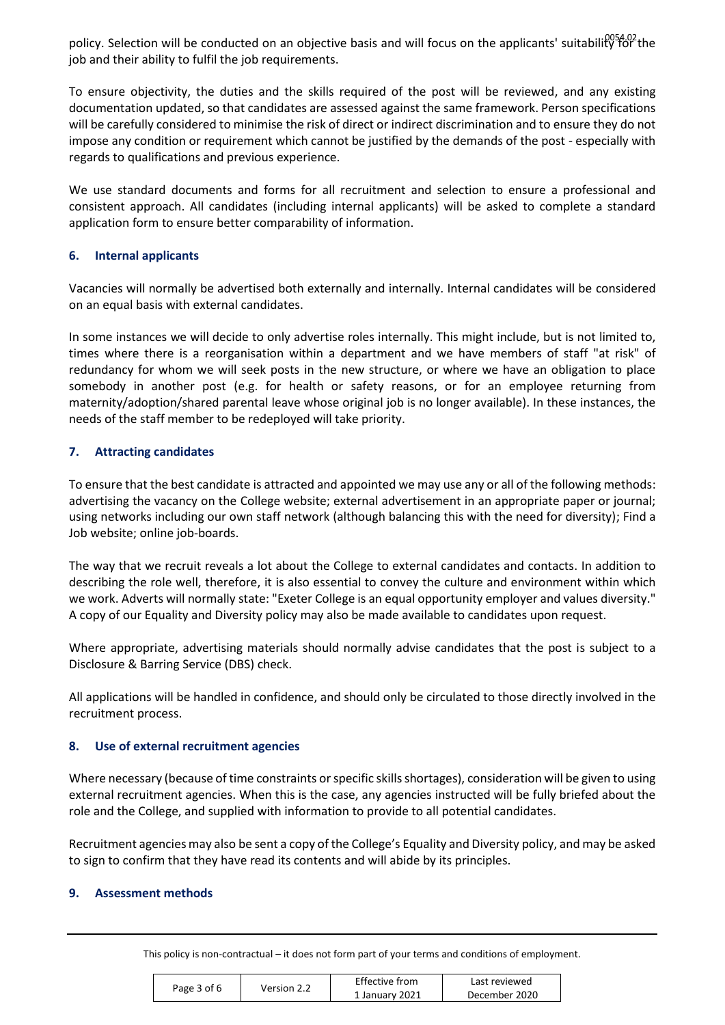policy. Selection will be conducted on an objective basis and will focus on the applicants' suitability for the job and their ability to fulfil the job requirements.

To ensure objectivity, the duties and the skills required of the post will be reviewed, and any existing documentation updated, so that candidates are assessed against the same framework. Person specifications will be carefully considered to minimise the risk of direct or indirect discrimination and to ensure they do not impose any condition or requirement which cannot be justified by the demands of the post - especially with regards to qualifications and previous experience.

We use standard documents and forms for all recruitment and selection to ensure a professional and consistent approach. All candidates (including internal applicants) will be asked to complete a standard application form to ensure better comparability of information.

### **6. Internal applicants**

Vacancies will normally be advertised both externally and internally. Internal candidates will be considered on an equal basis with external candidates.

In some instances we will decide to only advertise roles internally. This might include, but is not limited to, times where there is a reorganisation within a department and we have members of staff "at risk" of redundancy for whom we will seek posts in the new structure, or where we have an obligation to place somebody in another post (e.g. for health or safety reasons, or for an employee returning from maternity/adoption/shared parental leave whose original job is no longer available). In these instances, the needs of the staff member to be redeployed will take priority.

# **7. Attracting candidates**

To ensure that the best candidate is attracted and appointed we may use any or all of the following methods: advertising the vacancy on the College website; external advertisement in an appropriate paper or journal; using networks including our own staff network (although balancing this with the need for diversity); Find a Job website; online job-boards.

The way that we recruit reveals a lot about the College to external candidates and contacts. In addition to describing the role well, therefore, it is also essential to convey the culture and environment within which we work. Adverts will normally state: "Exeter College is an equal opportunity employer and values diversity." A copy of our Equality and Diversity policy may also be made available to candidates upon request.

Where appropriate, advertising materials should normally advise candidates that the post is subject to a Disclosure & Barring Service (DBS) check.

All applications will be handled in confidence, and should only be circulated to those directly involved in the recruitment process.

#### **8. Use of external recruitment agencies**

Where necessary (because of time constraints or specific skills shortages), consideration will be given to using external recruitment agencies. When this is the case, any agencies instructed will be fully briefed about the role and the College, and supplied with information to provide to all potential candidates.

Recruitment agencies may also be sent a copy of the College's Equality and Diversity policy, and may be asked to sign to confirm that they have read its contents and will abide by its principles.

#### **9. Assessment methods**

| Page 3 of 6<br>Version 2.2 |                | Effective from | Last reviewed |
|----------------------------|----------------|----------------|---------------|
|                            | 1 January 2021 | December 2020  |               |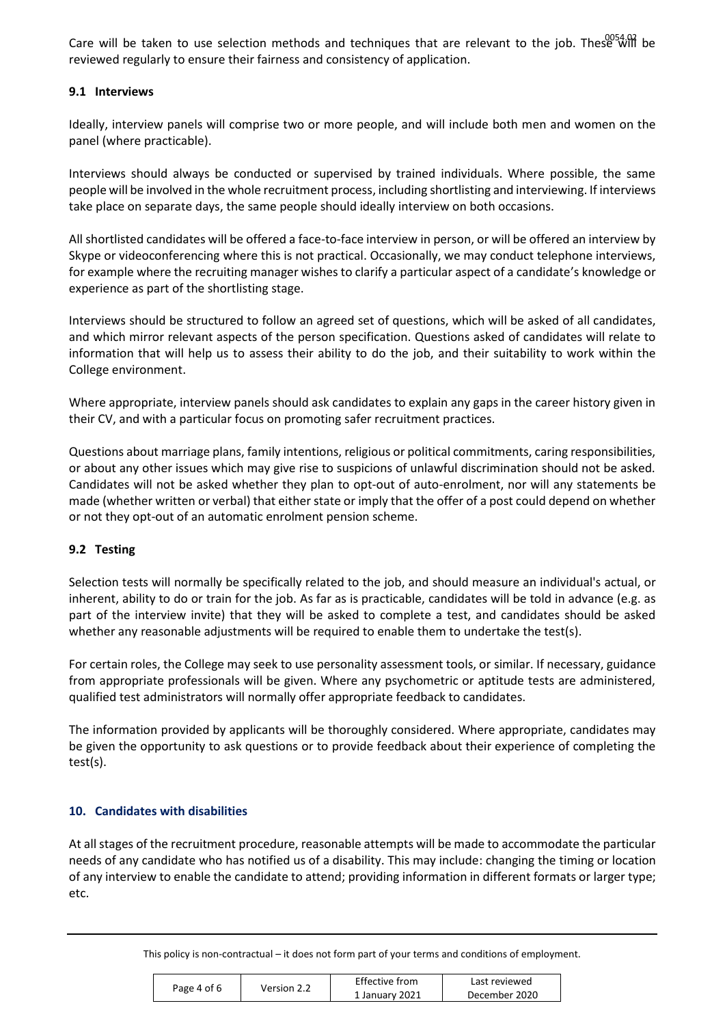Care will be taken to use selection methods and techniques that are relevant to the job. These will be reviewed regularly to ensure their fairness and consistency of application.

#### **9.1 Interviews**

Ideally, interview panels will comprise two or more people, and will include both men and women on the panel (where practicable).

Interviews should always be conducted or supervised by trained individuals. Where possible, the same people will be involved in the whole recruitment process, including shortlisting and interviewing. If interviews take place on separate days, the same people should ideally interview on both occasions.

All shortlisted candidates will be offered a face-to-face interview in person, or will be offered an interview by Skype or videoconferencing where this is not practical. Occasionally, we may conduct telephone interviews, for example where the recruiting manager wishes to clarify a particular aspect of a candidate's knowledge or experience as part of the shortlisting stage.

Interviews should be structured to follow an agreed set of questions, which will be asked of all candidates, and which mirror relevant aspects of the person specification. Questions asked of candidates will relate to information that will help us to assess their ability to do the job, and their suitability to work within the College environment.

Where appropriate, interview panels should ask candidates to explain any gaps in the career history given in their CV, and with a particular focus on promoting safer recruitment practices.

Questions about marriage plans, family intentions, religious or political commitments, caring responsibilities, or about any other issues which may give rise to suspicions of unlawful discrimination should not be asked. Candidates will not be asked whether they plan to opt-out of auto-enrolment, nor will any statements be made (whether written or verbal) that either state or imply that the offer of a post could depend on whether or not they opt-out of an automatic enrolment pension scheme.

#### **9.2 Testing**

Selection tests will normally be specifically related to the job, and should measure an individual's actual, or inherent, ability to do or train for the job. As far as is practicable, candidates will be told in advance (e.g. as part of the interview invite) that they will be asked to complete a test, and candidates should be asked whether any reasonable adjustments will be required to enable them to undertake the test(s).

For certain roles, the College may seek to use personality assessment tools, or similar. If necessary, guidance from appropriate professionals will be given. Where any psychometric or aptitude tests are administered, qualified test administrators will normally offer appropriate feedback to candidates.

The information provided by applicants will be thoroughly considered. Where appropriate, candidates may be given the opportunity to ask questions or to provide feedback about their experience of completing the test(s).

#### **10. Candidates with disabilities**

At all stages of the recruitment procedure, reasonable attempts will be made to accommodate the particular needs of any candidate who has notified us of a disability. This may include: changing the timing or location of any interview to enable the candidate to attend; providing information in different formats or larger type; etc.

| Page 4 of 6<br>Version 2.2 |                | Effective from | Last reviewed |
|----------------------------|----------------|----------------|---------------|
|                            | 1 January 2021 | December 2020  |               |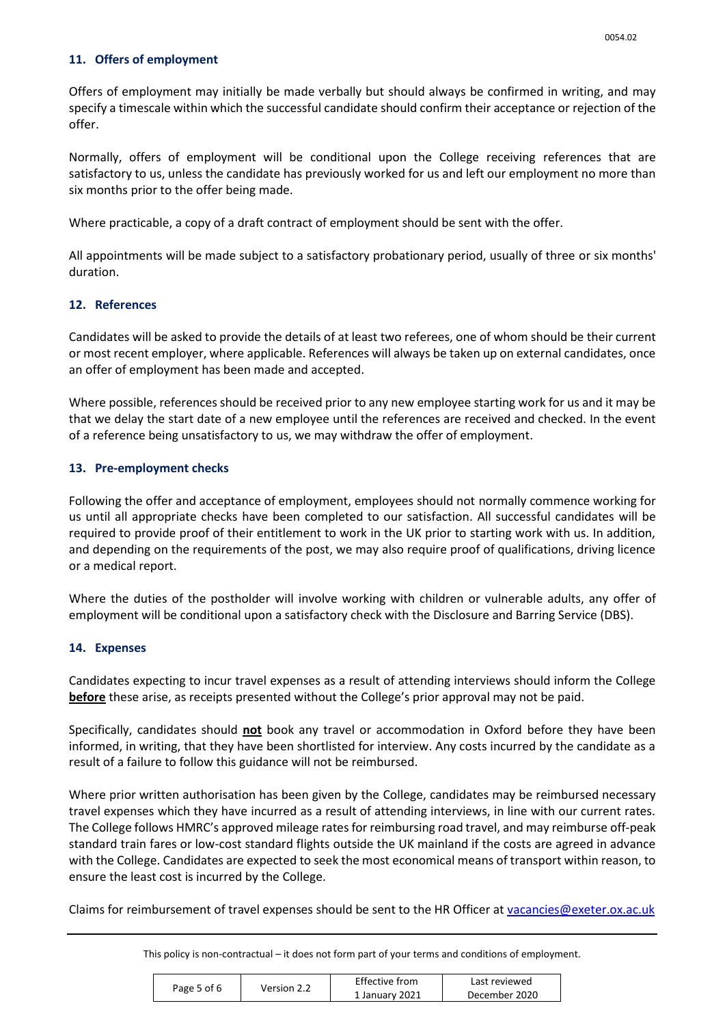#### **11. Offers of employment**

Offers of employment may initially be made verbally but should always be confirmed in writing, and may specify a timescale within which the successful candidate should confirm their acceptance or rejection of the offer.

Normally, offers of employment will be conditional upon the College receiving references that are satisfactory to us, unless the candidate has previously worked for us and left our employment no more than six months prior to the offer being made.

Where practicable, a copy of a draft contract of employment should be sent with the offer.

All appointments will be made subject to a satisfactory probationary period, usually of three or six months' duration.

### **12. References**

Candidates will be asked to provide the details of at least two referees, one of whom should be their current or most recent employer, where applicable. References will always be taken up on external candidates, once an offer of employment has been made and accepted.

Where possible, references should be received prior to any new employee starting work for us and it may be that we delay the start date of a new employee until the references are received and checked. In the event of a reference being unsatisfactory to us, we may withdraw the offer of employment.

### **13. Pre-employment checks**

Following the offer and acceptance of employment, employees should not normally commence working for us until all appropriate checks have been completed to our satisfaction. All successful candidates will be required to provide proof of their entitlement to work in the UK prior to starting work with us. In addition, and depending on the requirements of the post, we may also require proof of qualifications, driving licence or a medical report.

Where the duties of the postholder will involve working with children or vulnerable adults, any offer of employment will be conditional upon a satisfactory check with the Disclosure and Barring Service (DBS).

#### **14. Expenses**

Candidates expecting to incur travel expenses as a result of attending interviews should inform the College **before** these arise, as receipts presented without the College's prior approval may not be paid.

Specifically, candidates should **not** book any travel or accommodation in Oxford before they have been informed, in writing, that they have been shortlisted for interview. Any costs incurred by the candidate as a result of a failure to follow this guidance will not be reimbursed.

Where prior written authorisation has been given by the College, candidates may be reimbursed necessary travel expenses which they have incurred as a result of attending interviews, in line with our current rates. The College follows HMRC's approved mileage rates for reimbursing road travel, and may reimburse off-peak standard train fares or low-cost standard flights outside the UK mainland if the costs are agreed in advance with the College. Candidates are expected to seek the most economical means of transport within reason, to ensure the least cost is incurred by the College.

Claims for reimbursement of travel expenses should be sent to the HR Officer a[t vacancies@exeter.ox.ac.uk](mailto:vacancies@exeter.ox.ac.uk)

| Page 5 of 6<br>Version 2.2 | Effective from | Last reviewed |
|----------------------------|----------------|---------------|
|                            | 1 January 2021 | December 2020 |